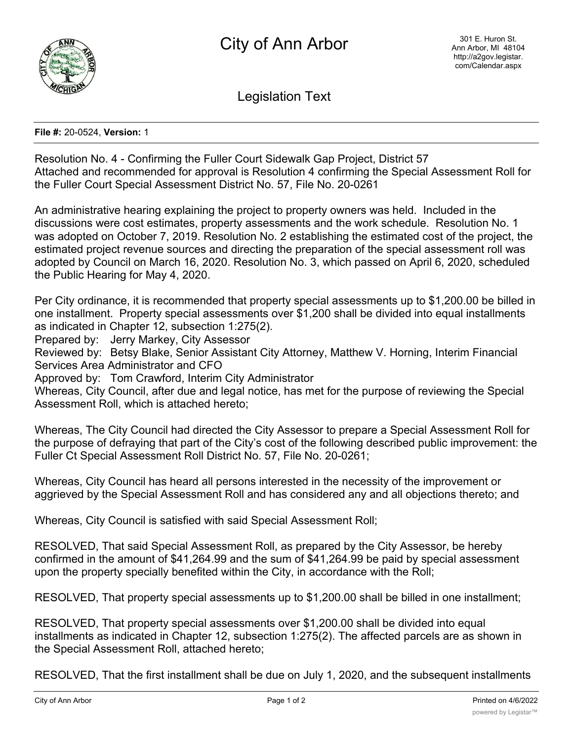

Legislation Text

**File #:** 20-0524, **Version:** 1

Resolution No. 4 - Confirming the Fuller Court Sidewalk Gap Project, District 57 Attached and recommended for approval is Resolution 4 confirming the Special Assessment Roll for the Fuller Court Special Assessment District No. 57, File No. 20-0261

An administrative hearing explaining the project to property owners was held. Included in the discussions were cost estimates, property assessments and the work schedule. Resolution No. 1 was adopted on October 7, 2019. Resolution No. 2 establishing the estimated cost of the project, the estimated project revenue sources and directing the preparation of the special assessment roll was adopted by Council on March 16, 2020. Resolution No. 3, which passed on April 6, 2020, scheduled the Public Hearing for May 4, 2020.

Per City ordinance, it is recommended that property special assessments up to \$1,200.00 be billed in one installment. Property special assessments over \$1,200 shall be divided into equal installments as indicated in Chapter 12, subsection 1:275(2).

Prepared by: Jerry Markey, City Assessor

Reviewed by: Betsy Blake, Senior Assistant City Attorney, Matthew V. Horning, Interim Financial Services Area Administrator and CFO

Approved by: Tom Crawford, Interim City Administrator

Whereas, City Council, after due and legal notice, has met for the purpose of reviewing the Special Assessment Roll, which is attached hereto;

Whereas, The City Council had directed the City Assessor to prepare a Special Assessment Roll for the purpose of defraying that part of the City's cost of the following described public improvement: the Fuller Ct Special Assessment Roll District No. 57, File No. 20-0261;

Whereas, City Council has heard all persons interested in the necessity of the improvement or aggrieved by the Special Assessment Roll and has considered any and all objections thereto; and

Whereas, City Council is satisfied with said Special Assessment Roll;

RESOLVED, That said Special Assessment Roll, as prepared by the City Assessor, be hereby confirmed in the amount of \$41,264.99 and the sum of \$41,264.99 be paid by special assessment upon the property specially benefited within the City, in accordance with the Roll;

RESOLVED, That property special assessments up to \$1,200.00 shall be billed in one installment;

RESOLVED, That property special assessments over \$1,200.00 shall be divided into equal installments as indicated in Chapter 12, subsection 1:275(2). The affected parcels are as shown in the Special Assessment Roll, attached hereto;

RESOLVED, That the first installment shall be due on July 1, 2020, and the subsequent installments